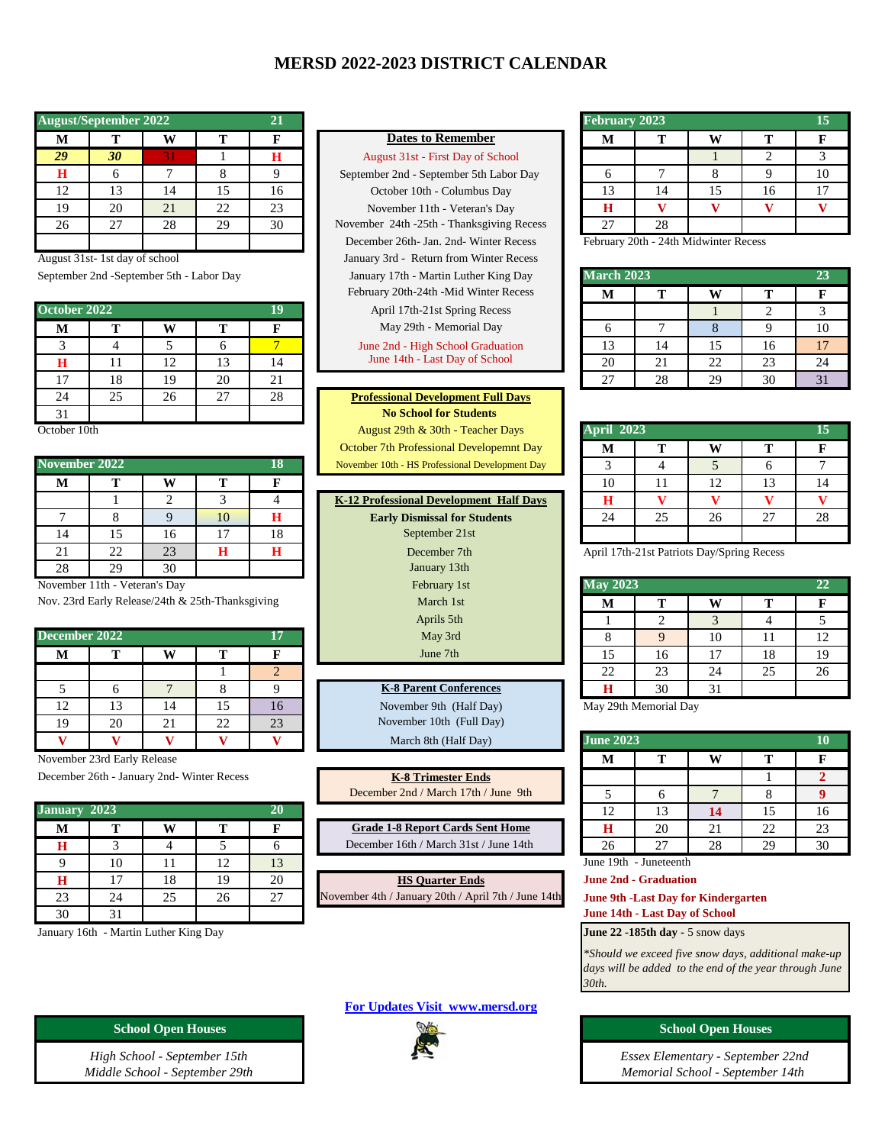## **MERSD 2022-2023 DISTRICT CALENDAR**

|    | <b>August/September 2022</b> |    |    | 21 |
|----|------------------------------|----|----|----|
| м  |                              |    |    |    |
| 29 | 30                           | 31 |    | н  |
| н  |                              |    |    |    |
| 12 | 13                           | 14 | 15 | 16 |
| 19 | 20                           | 21 | 22 | 23 |
| 26 | 27                           | 28 | 29 | 30 |
|    |                              |    |    |    |

August 31st- 1st day of school

September 2nd -September 5th - Labor Day

|              |    |                      |           |    |                                           | .  |    | .  |    |    |
|--------------|----|----------------------|-----------|----|-------------------------------------------|----|----|----|----|----|
| October 2022 |    |                      |           |    | April 17th-21st Spring Recess             |    |    |    | ∼  |    |
| М            |    | W                    |           |    | May 29th - Memorial Day                   |    |    |    |    | 10 |
|              |    |                      |           |    | June 2nd - High School Graduation         |    |    | 15 | 16 | 17 |
| н            |    | $\mathbf{A}$<br>- 12 |           |    | June 14th - Last Day of School            | 20 | 21 | 22 | 23 | 24 |
| 17           | 18 | 19                   | 20        | 21 |                                           | 27 | 28 | 29 | 30 | 31 |
| 24           | 25 | 26                   | 27<br>، ک | 28 | <b>Professional Development Full Days</b> |    |    |    |    |    |
| 31           |    |                      |           |    | <b>No School for Students</b>             |    |    |    |    |    |

October 10th

|               |    |    |    |    |                                                 |    |    | .                                          |    |    |
|---------------|----|----|----|----|-------------------------------------------------|----|----|--------------------------------------------|----|----|
| November 2022 |    |    |    |    | November 10th - HS Professional Development Day |    |    |                                            |    |    |
| М             | m  | W  |    |    |                                                 | 10 |    | 12                                         | 13 | 14 |
|               |    |    |    |    | K-12 Professional Development Half Days         |    |    |                                            |    |    |
|               |    |    | 10 |    | <b>Early Dismissal for Students</b>             | 24 | 25 | 26                                         | 27 | 28 |
| 14            |    | 16 | ╺  | 18 | September 21st                                  |    |    |                                            |    |    |
| 21            | 22 | 23 |    |    | December 7th                                    |    |    | April 17th-21st Patriots Day/Spring Recess |    |    |
| 28            | 29 | 30 |    |    | January 13th                                    |    |    |                                            |    |    |

November 11th - Veteran's Day

Nov. 23rd Early Release/24th & 25th-Thanksgiving

| December 2022                                   |    |    |    | 17 | May 3rd                       |                  |                       | 10 | 11 | 12 |
|-------------------------------------------------|----|----|----|----|-------------------------------|------------------|-----------------------|----|----|----|
| M                                               | m  | w  |    |    | June 7th                      | 15               | 16                    | 17 | 18 | 19 |
|                                                 |    |    |    | ∠  |                               | 22               | 23                    | 24 | 25 | 26 |
|                                                 |    |    |    |    | <b>K-8 Parent Conferences</b> |                  | 30                    | 31 |    |    |
| 12                                              | 13 | 14 | 15 | 16 | November 9th (Half Day)       |                  | May 29th Memorial Day |    |    |    |
| 19                                              | 20 | 21 | 22 | 23 | November 10th (Full Day)      |                  |                       |    |    |    |
| $\overline{\mathbf{x}}$ $\overline{\mathbf{r}}$ |    |    |    |    | March 8th (Half Day)          | <b>June 2023</b> |                       |    |    | 10 |

November 23rd Early Release

December 26th - January 2nd- Winter Recess

| January 2023 |    |    |    | 20 |                                                     | 12 |                                | 14                                         | 15 | 16 |
|--------------|----|----|----|----|-----------------------------------------------------|----|--------------------------------|--------------------------------------------|----|----|
| М            |    | W  |    |    | <b>Grade 1-8 Report Cards Sent Home</b>             |    | 20                             | 21                                         | 22 | 23 |
| н            |    |    |    |    | December 16th / March 31st / June 14th              | 26 | າາ                             | 28                                         | 29 | 30 |
|              | 10 |    |    | 13 |                                                     |    | June 19th - Juneteenth         |                                            |    |    |
| Н            |    | 18 | 19 | 20 | <b>HS Quarter Ends</b>                              |    | <b>June 2nd - Graduation</b>   |                                            |    |    |
| 23           | 24 | 25 | 26 | 27 | November 4th / January 20th / April 7th / June 14th |    |                                | <b>June 9th -Last Day for Kindergarten</b> |    |    |
| 30           | 31 |    |    |    |                                                     |    | June 14th - Last Day of School |                                            |    |    |

January 16th - Martin Luther King Day

## **Dates to Remember**

**August 31st - First Day of School** September 2nd - September 5th Labor Day October 10th - Columbus Day  $N$  ovember 11th - Veteran's Day November 24th -25th - Thanksgiving Recess December 26th- Jan. 2nd- Winter Recess January 3rd - Return from Winter Recess January 17th - Martin Luther King Day **23** February 20th-24th -Mid Winter Recess April 17th-21st Spring Recess **May 29th - Memorial Day** June 2nd - High School Graduation June 14th - Last Day of School

**Professional Development Full Days** 31 **No School for Students**  August 29th & 30th - Teacher Days **15 October 7th Professional Developemnt Day** November 10th - HS Professional Development Day

| K-12 Professional Development Half Days |
|-----------------------------------------|
| <b>Early Dismissal for Students</b>     |
| September 21st                          |
| December 7th                            |
| January 13th                            |
| February 1st                            |
| March 1st                               |
| Aprils 5th                              |
| May 3rd                                 |
| June 7th                                |
|                                         |

**K-8 Trimester Ends** December 2nd / March 17th / June 9th

**[For Updates Visit www.mersd.org](http://www.mersd.org/)**



| 21              |                                           | <b>February 2023</b> |    |    |  |
|-----------------|-------------------------------------------|----------------------|----|----|--|
| F               | <b>Dates to Remember</b>                  | IV.                  |    |    |  |
| $\mathbf H$     | August 31st - First Day of School         |                      |    |    |  |
| $\mathbf Q$     | September 2nd - September 5th Labor Day   |                      |    |    |  |
| 16              | October 10th - Columbus Day               |                      | 14 | 16 |  |
| $\overline{23}$ | November 11th - Veteran's Day             | н                    |    |    |  |
| 30              | November 24th -25th - Thanksgiving Recess |                      | 28 |    |  |
|                 |                                           |                      |    |    |  |

February 20th - 24th Midwinter Recess

| <b>March 2023</b> |    |    |    | 23 |
|-------------------|----|----|----|----|
| M                 | т  |    | т  | F  |
|                   |    |    | 2  |    |
| 6                 |    |    |    | 10 |
| 13                | 14 | 15 | 16 | 17 |
| 20                | 21 | 22 | 23 | 24 |
| 27                | 28 | 29 | 30 | 31 |

|    |    |    | August 29th & 30th - Teacher Days               | <b>April 2023</b> |    |    |    |    |
|----|----|----|-------------------------------------------------|-------------------|----|----|----|----|
|    |    |    | October 7th Professional Developemnt Day        | М                 |    | W  |    |    |
|    |    | 18 | November 10th - HS Professional Development Day |                   |    |    |    |    |
| W  |    |    |                                                 | 10                |    | 12 |    |    |
|    |    |    | K-12 Professional Development Half Days         | Н                 |    |    |    |    |
|    | 10 | Н  | <b>Early Dismissal for Students</b>             | 24                | 25 | 26 | 27 | 28 |
| 16 |    | 18 | September 21st                                  |                   |    |    |    |    |

|   |             | February 1st                  | <b>May 2023</b> |    |    |    | 22 |
|---|-------------|-------------------------------|-----------------|----|----|----|----|
|   | hanksgiving | March 1st                     | м               | т  | W  | m  |    |
|   |             | Aprils 5th                    |                 |    |    |    |    |
|   | 17          | May 3rd                       | O               |    | 10 |    | 12 |
|   | П           | June 7th                      | 15              | 16 |    | 18 | 19 |
|   | 2           |                               | 22              | 23 | 24 | 25 | 26 |
| 8 |             | <b>K-8 Parent Conferences</b> | Н               | 30 | 31 |    |    |

| <b>June 2023</b> |    |    |    | 10 |
|------------------|----|----|----|----|
| M                | т  |    | т  | F  |
|                  |    |    |    |    |
|                  |    |    |    |    |
| 12               | 13 | 14 | 15 | 16 |
| $\bf H$          | 20 | 21 | 22 | 23 |
| 26               |    | 28 | 29 | 30 |

**June 14th - Last Day of School**

**June 22 -185th day - 5 snow days** 

*\*Should we exceed five snow days, additional make-up days will be added to the end of the year through June 30th.*

*Middle School - September 29th Memorial School - September 14th Essex Elementary - September 22nd*

**School Open Houses School Open Houses School Open Houses** 

*High School - September 15th*